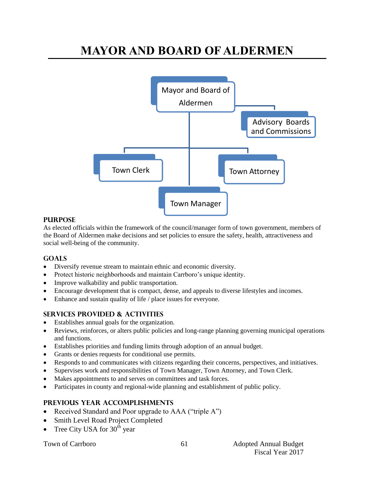# **MAYOR AND BOARD OF ALDERMEN**



#### **PURPOSE**

As elected officials within the framework of the council/manager form of town government, members of the Board of Aldermen make decisions and set policies to ensure the safety, health, attractiveness and social well-being of the community.

## **Goals**

- Diversify revenue stream to maintain ethnic and economic diversity.
- Protect historic neighborhoods and maintain Carrboro's unique identity.
- Improve walkability and public transportation.
- Encourage development that is compact, dense, and appeals to diverse lifestyles and incomes.
- Enhance and sustain quality of life / place issues for everyone.

## **Services provided & activities**

- Establishes annual goals for the organization.
- Reviews, reinforces, or alters public policies and long-range planning governing municipal operations and functions.
- Establishes priorities and funding limits through adoption of an annual budget.
- Grants or denies requests for conditional use permits.
- Responds to and communicates with citizens regarding their concerns, perspectives, and initiatives.
- Supervises work and responsibilities of Town Manager, Town Attorney, and Town Clerk.
- Makes appointments to and serves on committees and task forces.
- Participates in county and regional-wide planning and establishment of public policy.

## **Previous year accomplishments**

- Received Standard and Poor upgrade to AAA ("triple A")
- Smith Level Road Project Completed
- Tree City USA for  $30<sup>th</sup>$  year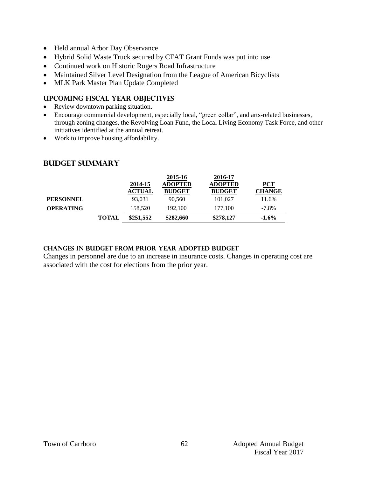- Held annual Arbor Day Observance
- Hybrid Solid Waste Truck secured by CFAT Grant Funds was put into use
- Continued work on Historic Rogers Road Infrastructure
- Maintained Silver Level Designation from the League of American Bicyclists
- MLK Park Master Plan Update Completed

## **Upcoming Fiscal year objectives**

- Review downtown parking situation.
- Encourage commercial development, especially local, "green collar", and arts-related businesses, through zoning changes, the Revolving Loan Fund, the Local Living Economy Task Force, and other initiatives identified at the annual retreat.
- Work to improve housing affordability.

## **Budget summary**

|                  |              | 2014-15       | 2015-16<br><b>ADOPTED</b> | 2016-17<br><b>ADOPTED</b> | <b>PCT</b>    |
|------------------|--------------|---------------|---------------------------|---------------------------|---------------|
|                  |              | <b>ACTUAL</b> | <b>BUDGET</b>             | <b>BUDGET</b>             | <b>CHANGE</b> |
| <b>PERSONNEL</b> |              | 93.031        | 90,560                    | 101,027                   | 11.6%         |
| <b>OPERATING</b> |              | 158.520       | 192,100                   | 177,100                   | $-7.8\%$      |
|                  | <b>TOTAL</b> | \$251,552     | \$282,660                 | \$278,127                 | $-1.6\%$      |

## **Changes in budget from prior year adopted budget**

Changes in personnel are due to an increase in insurance costs. Changes in operating cost are associated with the cost for elections from the prior year.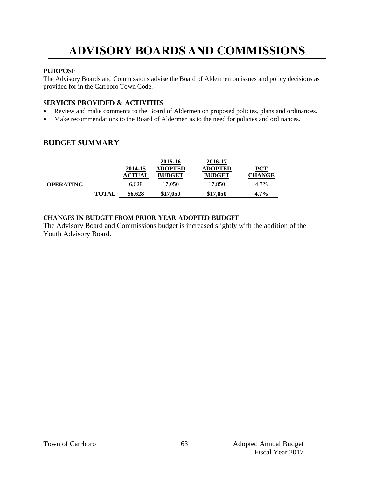# **ADVISORY BOARDS AND COMMISSIONS**

## **PURPOSE**

The Advisory Boards and Commissions advise the Board of Aldermen on issues and policy decisions as provided for in the Carrboro Town Code.

### **Services provided & activities**

- Review and make comments to the Board of Aldermen on proposed policies, plans and ordinances.
- Make recommendations to the Board of Aldermen as to the need for policies and ordinances.

## **Budget summary**

|                  |              | 2014-15       | 2015-16<br><b>ADOPTED</b> | 2016-17<br><b>ADOPTED</b> | $PCT$         |
|------------------|--------------|---------------|---------------------------|---------------------------|---------------|
|                  |              | <b>ACTUAL</b> | <b>BUDGET</b>             | <b>BUDGET</b>             | <b>CHANGE</b> |
| <b>OPERATING</b> |              | 6.628         | 17,050                    | 17.850                    | 4.7%          |
|                  | <b>TOTAL</b> | \$6,628       | \$17,050                  | \$17,850                  | $4.7\%$       |

#### **Changes in budget from prior year adopted budget**

The Advisory Board and Commissions budget is increased slightly with the addition of the Youth Advisory Board.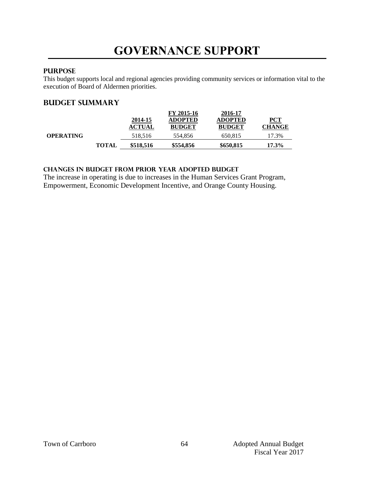# **GOVERNANCE SUPPORT**

## **PURPOSE**

This budget supports local and regional agencies providing community services or information vital to the execution of Board of Aldermen priorities.

## **Budget summary**

|                  |              | 2014-15       | FY 2015-16<br><b>ADOPTED</b> | 2016-17<br><b>ADOPTED</b> | PCT           |
|------------------|--------------|---------------|------------------------------|---------------------------|---------------|
|                  |              | <b>ACTUAL</b> | <b>BUDGET</b>                | <b>BUDGET</b>             | <b>CHANGE</b> |
| <b>OPERATING</b> |              | 518,516       | 554,856                      | 650,815                   | 17.3%         |
|                  | <b>TOTAL</b> | \$518,516     | \$554,856                    | \$650,815                 | $17.3\%$      |

#### **changes in budget from prior year adopted budget**

The increase in operating is due to increases in the Human Services Grant Program, Empowerment, Economic Development Incentive, and Orange County Housing.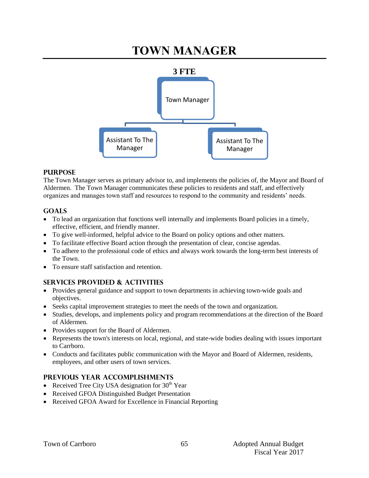# **TOWN MANAGER**



#### **PURPOSE**

The Town Manager serves as primary advisor to, and implements the policies of, the Mayor and Board of Aldermen. The Town Manager communicates these policies to residents and staff, and effectively organizes and manages town staff and resources to respond to the community and residents' needs.

## **GOALS**

- To lead an organization that functions well internally and implements Board policies in a timely, effective, efficient, and friendly manner.
- To give well-informed, helpful advice to the Board on policy options and other matters.
- To facilitate effective Board action through the presentation of clear, concise agendas.
- To adhere to the professional code of ethics and always work towards the long-term best interests of the Town.
- To ensure staff satisfaction and retention.

## **SERVICES PROVIDED & ACTIVITIES**

- Provides general guidance and support to town departments in achieving town-wide goals and objectives.
- Seeks capital improvement strategies to meet the needs of the town and organization.
- Studies, develops, and implements policy and program recommendations at the direction of the Board of Aldermen.
- Provides support for the Board of Aldermen.
- Represents the town's interests on local, regional, and state-wide bodies dealing with issues important to Carrboro.
- Conducts and facilitates public communication with the Mayor and Board of Aldermen, residents, employees, and other users of town services.

#### **PREVIOUS YEAR ACCOMPLISHMENTS**

- Received Tree City USA designation for  $30<sup>th</sup>$  Year
- Received GFOA Distinguished Budget Presentation
- Received GFOA Award for Excellence in Financial Reporting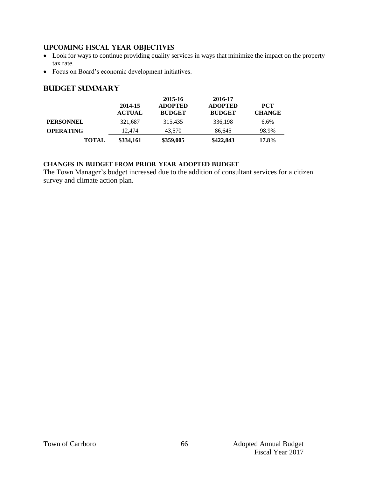## **UPCOMING FISCAL YEAR OBJECTIVES**

- Look for ways to continue providing quality services in ways that minimize the impact on the property tax rate.
- Focus on Board's economic development initiatives.

## **Budget summary**

|                  |               | 2015-16        | 2016-17        |               |
|------------------|---------------|----------------|----------------|---------------|
|                  | 2014-15       | <b>ADOPTED</b> | <b>ADOPTED</b> | <b>PCT</b>    |
|                  | <b>ACTUAL</b> | <b>BUDGET</b>  | <b>BUDGET</b>  | <b>CHANGE</b> |
| <b>PERSONNEL</b> | 321,687       | 315,435        | 336,198        | 6.6%          |
| <b>OPERATING</b> | 12.474        | 43.570         | 86.645         | 98.9%         |
| <b>TOTAL</b>     | \$334,161     | \$359,005      | \$422,843      | 17.8%         |

## **Changes in budget from prior year adopted budget**

The Town Manager's budget increased due to the addition of consultant services for a citizen survey and climate action plan.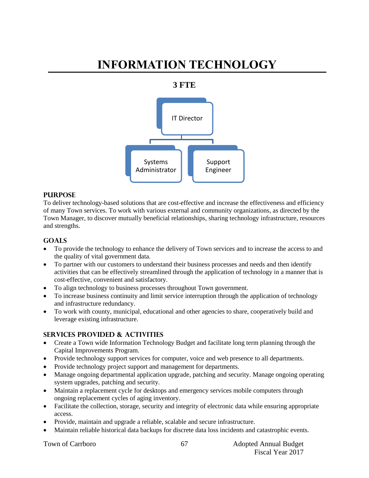# **INFORMATION TECHNOLOGY**

## **3 FTE**



#### **PURPOSE**

To deliver technology-based solutions that are cost-effective and increase the effectiveness and efficiency of many Town services. To work with various external and community organizations, as directed by the Town Manager, to discover mutually beneficial relationships, sharing technology infrastructure, resources and strengths.

#### **Goals**

- To provide the technology to enhance the delivery of Town services and to increase the access to and the quality of vital government data.
- To partner with our customers to understand their business processes and needs and then identify activities that can be effectively streamlined through the application of technology in a manner that is cost-effective, convenient and satisfactory.
- To align technology to business processes throughout Town government.
- To increase business continuity and limit service interruption through the application of technology and infrastructure redundancy.
- To work with county, municipal, educational and other agencies to share, cooperatively build and leverage existing infrastructure.

#### **Services provided & activities**

- Create a Town wide Information Technology Budget and facilitate long term planning through the Capital Improvements Program.
- Provide technology support services for computer, voice and web presence to all departments.
- Provide technology project support and management for departments.
- Manage ongoing departmental application upgrade, patching and security. Manage ongoing operating system upgrades, patching and security.
- Maintain a replacement cycle for desktops and emergency services mobile computers through ongoing replacement cycles of aging inventory.
- Facilitate the collection, storage, security and integrity of electronic data while ensuring appropriate access.
- Provide, maintain and upgrade a reliable, scalable and secure infrastructure.
- Maintain reliable historical data backups for discrete data loss incidents and catastrophic events.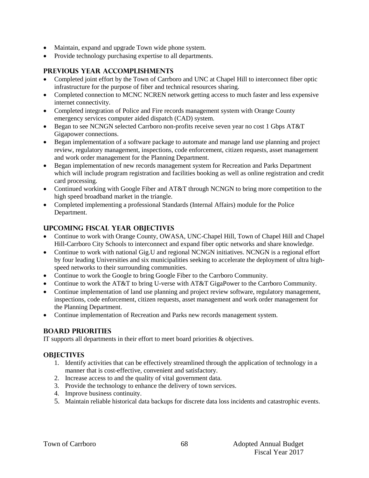- Maintain, expand and upgrade Town wide phone system.
- Provide technology purchasing expertise to all departments.

### **Previous year accomplishments**

- Completed joint effort by the Town of Carrboro and UNC at Chapel Hill to interconnect fiber optic infrastructure for the purpose of fiber and technical resources sharing.
- Completed connection to MCNC NCREN network getting access to much faster and less expensive internet connectivity.
- Completed integration of Police and Fire records management system with Orange County emergency services computer aided dispatch (CAD) system.
- Began to see NCNGN selected Carrboro non-profits receive seven year no cost 1 Gbps AT&T Gigapower connections.
- Began implementation of a software package to automate and manage land use planning and project review, regulatory management, inspections, code enforcement, citizen requests, asset management and work order management for the Planning Department.
- Began implementation of new records management system for Recreation and Parks Department which will include program registration and facilities booking as well as online registration and credit card processing.
- Continued working with Google Fiber and AT&T through NCNGN to bring more competition to the high speed broadband market in the triangle.
- Completed implementing a professional Standards (Internal Affairs) module for the Police Department.

## **Upcoming Fiscal year objectives**

- Continue to work with Orange County, OWASA, UNC-Chapel Hill, Town of Chapel Hill and Chapel Hill-Carrboro City Schools to interconnect and expand fiber optic networks and share knowledge.
- Continue to work with national Gig.U and regional NCNGN initiatives. NCNGN is a regional effort by four leading Universities and six municipalities seeking to accelerate the deployment of ultra highspeed networks to their surrounding communities.
- Continue to work the Google to bring Google Fiber to the Carrboro Community.
- Continue to work the AT&T to bring U-verse with AT&T GigaPower to the Carrboro Community.
- Continue implementation of land use planning and project review software, regulatory management, inspections, code enforcement, citizen requests, asset management and work order management for the Planning Department.
- Continue implementation of Recreation and Parks new records management system.

#### **BOARD PRIORITIES**

IT supports all departments in their effort to meet board priorities & objectives.

## **OBJECTIVES**

- 1. Identify activities that can be effectively streamlined through the application of technology in a manner that is cost-effective, convenient and satisfactory.
- 2. Increase access to and the quality of vital government data.
- 3. Provide the technology to enhance the delivery of town services.
- 4. Improve business continuity.
- 5. Maintain reliable historical data backups for discrete data loss incidents and catastrophic events.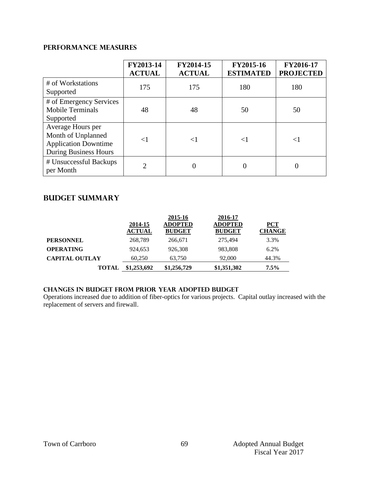## **PERFORMANCE MEASURES**

|                                                                                                        | FY2013-14<br><b>ACTUAL</b> | FY2014-15<br><b>ACTUAL</b> | FY2015-16<br><b>ESTIMATED</b> | FY2016-17<br><b>PROJECTED</b> |
|--------------------------------------------------------------------------------------------------------|----------------------------|----------------------------|-------------------------------|-------------------------------|
| # of Workstations<br>Supported                                                                         | 175                        | 175                        | 180                           | 180                           |
| # of Emergency Services<br><b>Mobile Terminals</b><br>Supported                                        | 48                         | 48                         | 50                            | 50                            |
| Average Hours per<br>Month of Unplanned<br><b>Application Downtime</b><br><b>During Business Hours</b> | ${<}1$                     | $\leq$ 1                   | $\leq$                        | $<$ 1                         |
| # Unsuccessful Backups<br>per Month                                                                    | $\overline{2}$             |                            |                               |                               |

## **Budget summary**

|                       |               | 2015-16        | 2016-17        |               |
|-----------------------|---------------|----------------|----------------|---------------|
|                       | 2014-15       | <b>ADOPTED</b> | <b>ADOPTED</b> | $PCT$         |
|                       | <b>ACTUAL</b> | <b>BUDGET</b>  | <b>BUDGET</b>  | <b>CHANGE</b> |
| <b>PERSONNEL</b>      | 268,789       | 266,671        | 275,494        | 3.3%          |
| <b>OPERATING</b>      | 924.653       | 926.308        | 983,808        | 6.2%          |
| <b>CAPITAL OUTLAY</b> | 60,250        | 63,750         | 92,000         | 44.3%         |
| <b>TOTAL</b>          | \$1,253,692   | \$1,256,729    | \$1,351,302    | $7.5\%$       |

## **changes in budget from prior year adopted budget**

Operations increased due to addition of fiber-optics for various projects. Capital outlay increased with the replacement of servers and firewall.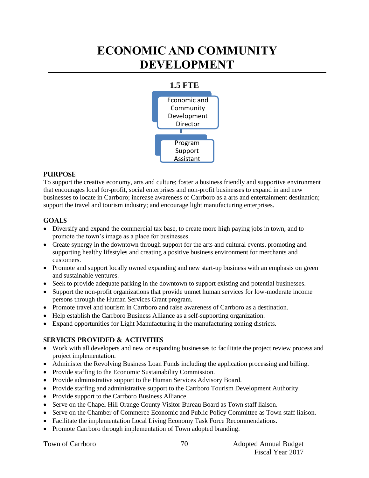# **ECONOMIC AND COMMUNITY DEVELOPMENT**

## **1.5 FTE** Economic and **Community** Development Director Program Support Assistant

#### **PURPOSE**

To support the creative economy, arts and culture; foster a business friendly and supportive environment that encourages local for-profit, social enterprises and non-profit businesses to expand in and new businesses to locate in Carrboro; increase awareness of Carrboro as a arts and entertainment destination; support the travel and tourism industry; and encourage light manufacturing enterprises.

#### **Goals**

- Diversify and expand the commercial tax base, to create more high paying jobs in town, and to promote the town's image as a place for businesses.
- Create synergy in the downtown through support for the arts and cultural events, promoting and supporting healthy lifestyles and creating a positive business environment for merchants and customers.
- Promote and support locally owned expanding and new start-up business with an emphasis on green and sustainable ventures.
- Seek to provide adequate parking in the downtown to support existing and potential businesses.
- Support the non-profit organizations that provide unmet human services for low-moderate income persons through the Human Services Grant program.
- Promote travel and tourism in Carrboro and raise awareness of Carrboro as a destination.
- Help establish the Carrboro Business Alliance as a self-supporting organization.
- Expand opportunities for Light Manufacturing in the manufacturing zoning districts.

## **Services provided & activities**

- Work with all developers and new or expanding businesses to facilitate the project review process and project implementation.
- Administer the Revolving Business Loan Funds including the application processing and billing.
- Provide staffing to the Economic Sustainability Commission.
- Provide administrative support to the Human Services Advisory Board.
- Provide staffing and administrative support to the Carrboro Tourism Development Authority.
- Provide support to the Carrboro Business Alliance.
- Serve on the Chapel Hill Orange County Visitor Bureau Board as Town staff liaison.
- Serve on the Chamber of Commerce Economic and Public Policy Committee as Town staff liaison.
- Facilitate the implementation Local Living Economy Task Force Recommendations.
- Promote Carrboro through implementation of Town adopted branding.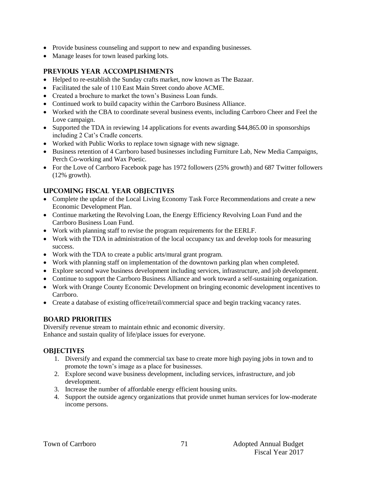- Provide business counseling and support to new and expanding businesses.
- Manage leases for town leased parking lots.

## **Previous year accomplishments**

- Helped to re-establish the Sunday crafts market, now known as The Bazaar.
- Facilitated the sale of 110 East Main Street condo above ACME.
- Created a brochure to market the town's Business Loan funds.
- Continued work to build capacity within the Carrboro Business Alliance.
- Worked with the CBA to coordinate several business events, including Carrboro Cheer and Feel the Love campaign.
- Supported the TDA in reviewing 14 applications for events awarding \$44,865.00 in sponsorships including 2 Cat's Cradle concerts.
- Worked with Public Works to replace town signage with new signage.
- Business retention of 4 Carrboro based businesses including Furniture Lab, New Media Campaigns, Perch Co-working and Wax Poetic.
- For the Love of Carrboro Facebook page has 1972 followers (25% growth) and 687 Twitter followers (12% growth).

## **Upcoming Fiscal year objectives**

- Complete the update of the Local Living Economy Task Force Recommendations and create a new Economic Development Plan.
- Continue marketing the Revolving Loan, the Energy Efficiency Revolving Loan Fund and the Carrboro Business Loan Fund.
- Work with planning staff to revise the program requirements for the EERLF.
- Work with the TDA in administration of the local occupancy tax and develop tools for measuring success.
- Work with the TDA to create a public arts/mural grant program.
- Work with planning staff on implementation of the downtown parking plan when completed.
- Explore second wave business development including services, infrastructure, and job development.
- Continue to support the Carrboro Business Alliance and work toward a self-sustaining organization.
- Work with Orange County Economic Development on bringing economic development incentives to Carrboro.
- Create a database of existing office/retail/commercial space and begin tracking vacancy rates.

#### **BOARD PRIORITIES**

Diversify revenue stream to maintain ethnic and economic diversity. Enhance and sustain quality of life/place issues for everyone.

#### **OBJECTIVES**

- 1. Diversify and expand the commercial tax base to create more high paying jobs in town and to promote the town's image as a place for businesses.
- 2. Explore second wave business development, including services, infrastructure, and job development.
- 3. Increase the number of affordable energy efficient housing units.
- 4. Support the outside agency organizations that provide unmet human services for low-moderate income persons.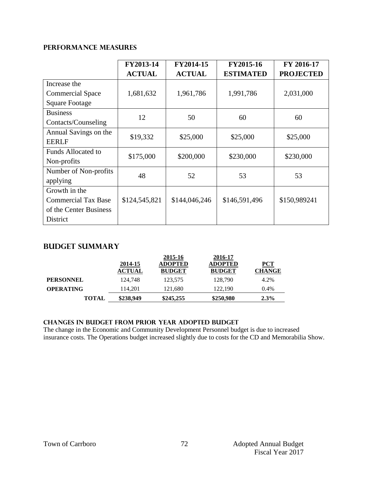## **PERFORMANCE MEASURES**

|                            | FY2013-14     | FY2014-15     | FY2015-16        | FY 2016-17       |
|----------------------------|---------------|---------------|------------------|------------------|
|                            | <b>ACTUAL</b> | <b>ACTUAL</b> | <b>ESTIMATED</b> | <b>PROJECTED</b> |
| Increase the               |               |               |                  |                  |
| <b>Commercial Space</b>    | 1,681,632     | 1,961,786     | 1,991,786        | 2,031,000        |
| <b>Square Footage</b>      |               |               |                  |                  |
| <b>Business</b>            | 12            | 50            | 60               | 60               |
| Contacts/Counseling        |               |               |                  |                  |
| Annual Savings on the      | \$19,332      | \$25,000      | \$25,000         | \$25,000         |
| <b>EERLF</b>               |               |               |                  |                  |
| <b>Funds Allocated to</b>  | \$175,000     | \$200,000     | \$230,000        | \$230,000        |
| Non-profits                |               |               |                  |                  |
| Number of Non-profits      | 48            | 52            | 53               | 53               |
| applying                   |               |               |                  |                  |
| Growth in the              |               |               |                  |                  |
| <b>Commercial Tax Base</b> | \$124,545,821 | \$144,046,246 | \$146,591,496    | \$150,989241     |
| of the Center Business     |               |               |                  |                  |
| District                   |               |               |                  |                  |

## **Budget summary**

|                  |               | 2015-16        | 2016-17        |               |
|------------------|---------------|----------------|----------------|---------------|
|                  | 2014-15       | <b>ADOPTED</b> | <b>ADOPTED</b> | $PCT$         |
|                  | <b>ACTUAL</b> | <b>BUDGET</b>  | <b>BUDGET</b>  | <b>CHANGE</b> |
| <b>PERSONNEL</b> | 124.748       | 123,575        | 128,790        | 4.2%          |
| <b>OPERATING</b> | 114.201       | 121,680        | 122,190        | 0.4%          |
| <b>TOTAL</b>     | \$238,949     | \$245,255      | \$250,980      | $2.3\%$       |

#### **Changes in budget from prior year adopted budget**

The change in the Economic and Community Development Personnel budget is due to increased insurance costs. The Operations budget increased slightly due to costs for the CD and Memorabilia Show.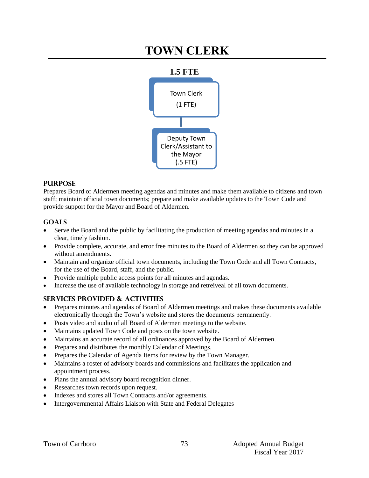# **TOWN CLERK**



## **PURPOSE**

Prepares Board of Aldermen meeting agendas and minutes and make them available to citizens and town staff; maintain official town documents; prepare and make available updates to the Town Code and provide support for the Mayor and Board of Aldermen.

## **Goals**

- Serve the Board and the public by facilitating the production of meeting agendas and minutes in a clear, timely fashion.
- Provide complete, accurate, and error free minutes to the Board of Aldermen so they can be approved without amendments.
- Maintain and organize official town documents, including the Town Code and all Town Contracts, for the use of the Board, staff, and the public.
- Provide multiple public access points for all minutes and agendas.
- Increase the use of available technology in storage and retreiveal of all town documents.

## **Services provided & activities**

 Prepares minutes and agendas of Board of Aldermen meetings and makes these documents available electronically through the Town's website and stores the documents permanently.

73

- Posts video and audio of all Board of Aldermen meetings to the website.
- Maintains updated Town Code and posts on the town website.
- Maintains an accurate record of all ordinances approved by the Board of Aldermen.
- Prepares and distributes the monthly Calendar of Meetings.
- Prepares the Calendar of Agenda Items for review by the Town Manager.
- Maintains a roster of advisory boards and commissions and facilitates the application and appointment process.
- Plans the annual advisory board recognition dinner.
- Researches town records upon request.
- Indexes and stores all Town Contracts and/or agreements.
- Intergovernmental Affairs Liaison with State and Federal Delegates

Fiscal Year 2017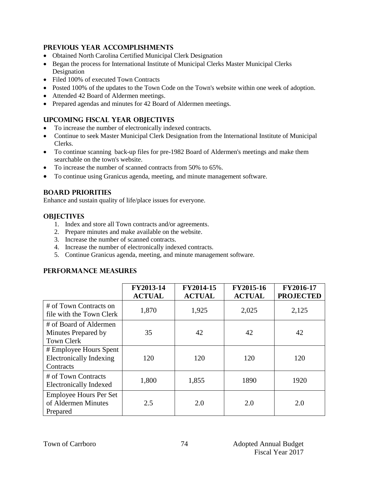## **Previous year accomplishments**

- Obtained North Carolina Certified Municipal Clerk Designation
- Began the process for International Institute of Municipal Clerks Master Municipal Clerks Designation
- Filed 100% of executed Town Contracts
- Posted 100% of the updates to the Town Code on the Town's website within one week of adoption.
- Attended 42 Board of Aldermen meetings.
- Prepared agendas and minutes for 42 Board of Aldermen meetings.

## **Upcoming Fiscal year objectives**

- To increase the number of electronically indexed contracts.
- Continue to seek Master Municipal Clerk Designation from the International Institute of Municipal Clerks.
- To continue scanning back-up files for pre-1982 Board of Aldermen's meetings and make them searchable on the town's website.
- $\bullet$  To increase the number of scanned contracts from 50% to 65%.
- To continue using Granicus agenda, meeting, and minute management software.

#### **BOARD PRIORITIES**

Enhance and sustain quality of life/place issues for everyone.

#### **OBJECTIVES**

- 1. Index and store all Town contracts and/or agreements.
- 2. Prepare minutes and make available on the website.
- 3. Increase the number of scanned contracts.
- 4. Increase the number of electronically indexed contracts.
- 5. Continue Granicus agenda, meeting, and minute management software.

#### **PERFORMANCE MEASURES**

|                                                                       | FY2013-14<br><b>ACTUAL</b> | FY2014-15<br><b>ACTUAL</b> | FY2015-16<br><b>ACTUAL</b> | FY2016-17<br><b>PROJECTED</b> |
|-----------------------------------------------------------------------|----------------------------|----------------------------|----------------------------|-------------------------------|
| # of Town Contracts on<br>file with the Town Clerk                    | 1,870                      | 1,925                      | 2,025                      | 2,125                         |
| # of Board of Aldermen<br>Minutes Prepared by<br><b>Town Clerk</b>    | 35                         | 42                         | 42                         | 42                            |
| # Employee Hours Spent<br><b>Electronically Indexing</b><br>Contracts | 120                        | 120                        | 120                        | 120                           |
| # of Town Contracts<br><b>Electronically Indexed</b>                  | 1,800                      | 1,855                      | 1890                       | 1920                          |
| <b>Employee Hours Per Set</b><br>of Aldermen Minutes<br>Prepared      | 2.5                        | 2.0                        | 2.0                        | 2.0                           |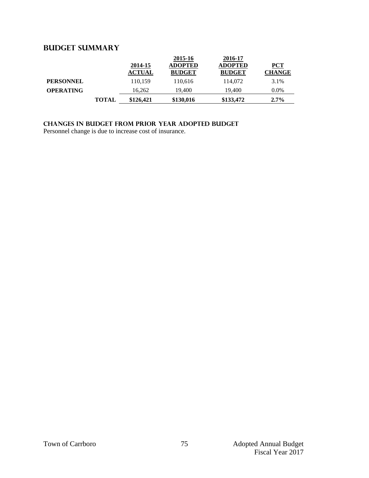## **Budget summary**

|                  |       | 2014-15<br><b>ACTUAL</b> | 2015-16<br><b>ADOPTED</b><br><b>BUDGET</b> | 2016-17<br><b>ADOPTED</b><br><b>BUDGET</b> | <b>PCT</b><br><b>CHANGE</b> |
|------------------|-------|--------------------------|--------------------------------------------|--------------------------------------------|-----------------------------|
| <b>PERSONNEL</b> |       | 110,159                  | 110,616                                    | 114,072                                    | 3.1%                        |
| <b>OPERATING</b> |       | 16.262                   | 19.400                                     | 19.400                                     | $0.0\%$                     |
|                  | TOTAL | \$126,421                | \$130,016                                  | \$133,472                                  | $2.7\%$                     |

## **Changes in budget from prior year adopted budget**

Personnel change is due to increase cost of insurance.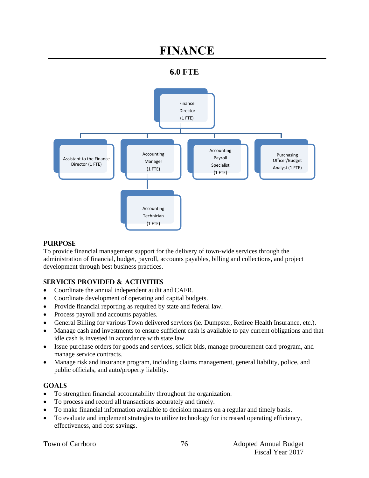# **FINANCE**

## **6.0 FTE**



#### **PURPOSE**

To provide financial management support for the delivery of town-wide services through the administration of financial, budget, payroll, accounts payables, billing and collections, and project development through best business practices.

## **SERVICES PROVIDED & ACTIVITIES**

- Coordinate the annual independent audit and CAFR.
- Coordinate development of operating and capital budgets.
- Provide financial reporting as required by state and federal law.
- Process payroll and accounts payables.
- General Billing for various Town delivered services (ie. Dumpster, Retiree Health Insurance, etc.).
- Manage cash and investments to ensure sufficient cash is available to pay current obligations and that idle cash is invested in accordance with state law.
- Issue purchase orders for goods and services, solicit bids, manage procurement card program, and manage service contracts.
- Manage risk and insurance program, including claims management, general liability, police, and public officials, and auto/property liability.

## **GOALS**

- To strengthen financial accountability throughout the organization.
- To process and record all transactions accurately and timely.
- To make financial information available to decision makers on a regular and timely basis.
- To evaluate and implement strategies to utilize technology for increased operating efficiency, effectiveness, and cost savings.

|  |  | <b>Town of Carrboro</b> |
|--|--|-------------------------|
|--|--|-------------------------|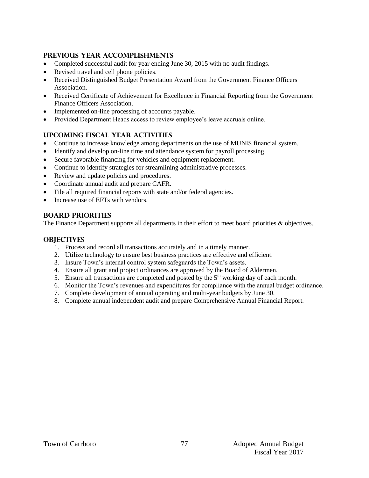## **PREVIOUS YEAR ACCOMPLISHMENTS**

- Completed successful audit for year ending June 30, 2015 with no audit findings.
- Revised travel and cell phone policies.
- Received Distinguished Budget Presentation Award from the Government Finance Officers Association.
- Received Certificate of Achievement for Excellence in Financial Reporting from the Government Finance Officers Association.
- Implemented on-line processing of accounts payable.
- Provided Department Heads access to review employee's leave accruals online.

## **UPCOMING FISCAL YEAR ACTIVITIES**

- Continue to increase knowledge among departments on the use of MUNIS financial system.
- Identify and develop on-line time and attendance system for payroll processing.
- Secure favorable financing for vehicles and equipment replacement.
- Continue to identify strategies for streamlining administrative processes.
- Review and update policies and procedures.
- Coordinate annual audit and prepare CAFR.
- File all required financial reports with state and/or federal agencies.
- Increase use of EFTs with vendors.

## **BOARD PRIORITIES**

The Finance Department supports all departments in their effort to meet board priorities & objectives.

#### **OBJECTIVES**

- 1. Process and record all transactions accurately and in a timely manner.
- 2. Utilize technology to ensure best business practices are effective and efficient.
- 3. Insure Town's internal control system safeguards the Town's assets.
- 4. Ensure all grant and project ordinances are approved by the Board of Aldermen.
- 5. Ensure all transactions are completed and posted by the  $5<sup>th</sup>$  working day of each month.
- 6. Monitor the Town's revenues and expenditures for compliance with the annual budget ordinance.
- 7. Complete development of annual operating and multi-year budgets by June 30.
- 8. Complete annual independent audit and prepare Comprehensive Annual Financial Report.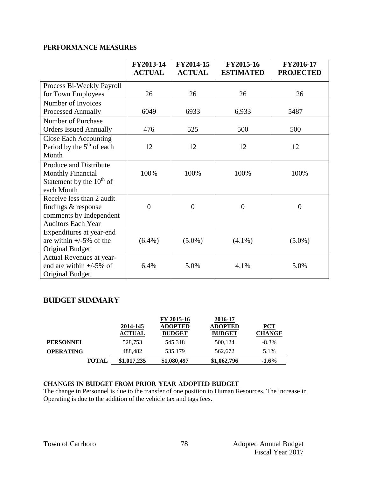## **PERFORMANCE MEASURES**

| Process Bi-Weekly Payroll<br>26<br>26<br>for Town Employees<br>26<br>26<br>Number of Invoices<br>6049<br><b>Processed Annually</b><br>6933<br>6,933<br>5487<br>Number of Purchase<br><b>Orders Issued Annually</b><br>476<br>500<br>500<br>525<br><b>Close Each Accounting</b><br>Period by the $5th$ of each<br>12<br>12<br>12<br>12<br>Month<br>Produce and Distribute<br>100%<br><b>Monthly Financial</b><br>100%<br>100%<br>100% |                               | FY2013-14<br><b>ACTUAL</b> | FY2014-15<br><b>ACTUAL</b> | FY2015-16<br><b>ESTIMATED</b> | FY2016-17<br><b>PROJECTED</b> |
|--------------------------------------------------------------------------------------------------------------------------------------------------------------------------------------------------------------------------------------------------------------------------------------------------------------------------------------------------------------------------------------------------------------------------------------|-------------------------------|----------------------------|----------------------------|-------------------------------|-------------------------------|
|                                                                                                                                                                                                                                                                                                                                                                                                                                      |                               |                            |                            |                               |                               |
|                                                                                                                                                                                                                                                                                                                                                                                                                                      |                               |                            |                            |                               |                               |
|                                                                                                                                                                                                                                                                                                                                                                                                                                      |                               |                            |                            |                               |                               |
|                                                                                                                                                                                                                                                                                                                                                                                                                                      |                               |                            |                            |                               |                               |
|                                                                                                                                                                                                                                                                                                                                                                                                                                      |                               |                            |                            |                               |                               |
|                                                                                                                                                                                                                                                                                                                                                                                                                                      |                               |                            |                            |                               |                               |
|                                                                                                                                                                                                                                                                                                                                                                                                                                      |                               |                            |                            |                               |                               |
|                                                                                                                                                                                                                                                                                                                                                                                                                                      |                               |                            |                            |                               |                               |
|                                                                                                                                                                                                                                                                                                                                                                                                                                      |                               |                            |                            |                               |                               |
|                                                                                                                                                                                                                                                                                                                                                                                                                                      |                               |                            |                            |                               |                               |
|                                                                                                                                                                                                                                                                                                                                                                                                                                      |                               |                            |                            |                               |                               |
|                                                                                                                                                                                                                                                                                                                                                                                                                                      | Statement by the $10^{th}$ of |                            |                            |                               |                               |
| each Month                                                                                                                                                                                                                                                                                                                                                                                                                           |                               |                            |                            |                               |                               |
| Receive less than 2 audit                                                                                                                                                                                                                                                                                                                                                                                                            |                               |                            |                            |                               |                               |
| $\overline{0}$<br>$\overline{0}$<br>findings & response<br>$\overline{0}$<br>$\overline{0}$                                                                                                                                                                                                                                                                                                                                          |                               |                            |                            |                               |                               |
| comments by Independent                                                                                                                                                                                                                                                                                                                                                                                                              |                               |                            |                            |                               |                               |
| <b>Auditors Each Year</b>                                                                                                                                                                                                                                                                                                                                                                                                            |                               |                            |                            |                               |                               |
| Expenditures at year-end                                                                                                                                                                                                                                                                                                                                                                                                             |                               |                            |                            |                               |                               |
| are within $+/-5\%$ of the<br>$(6.4\%)$<br>$(5.0\%)$<br>$(4.1\%)$<br>$(5.0\%)$                                                                                                                                                                                                                                                                                                                                                       |                               |                            |                            |                               |                               |
| Original Budget                                                                                                                                                                                                                                                                                                                                                                                                                      |                               |                            |                            |                               |                               |
| Actual Revenues at year-<br>end are within $+/-5\%$ of<br>6.4%<br>5.0%<br>4.1%<br>5.0%                                                                                                                                                                                                                                                                                                                                               |                               |                            |                            |                               |                               |
| <b>Original Budget</b>                                                                                                                                                                                                                                                                                                                                                                                                               |                               |                            |                            |                               |                               |

### **Budget summary**

|                  | 2014-145<br><b>ACTUAL</b> | FY 2015-16<br><b>ADOPTED</b><br><b>BUDGET</b> | 2016-17<br><b>ADOPTED</b><br><b>BUDGET</b> | $PCT$<br><b>CHANGE</b> |
|------------------|---------------------------|-----------------------------------------------|--------------------------------------------|------------------------|
| <b>PERSONNEL</b> | 528,753                   | 545,318                                       | 500,124                                    | $-8.3\%$               |
| <b>OPERATING</b> | 488,482                   | 535,179                                       | 562,672                                    | 5.1%                   |
| <b>TOTAL</b>     | \$1,017,235               | \$1,080,497                                   | \$1,062,796                                | $-1.6%$                |

## **changes in budget from prior year adopted budgeT**

The change in Personnel is due to the transfer of one position to Human Resources. The increase in Operating is due to the addition of the vehicle tax and tags fees.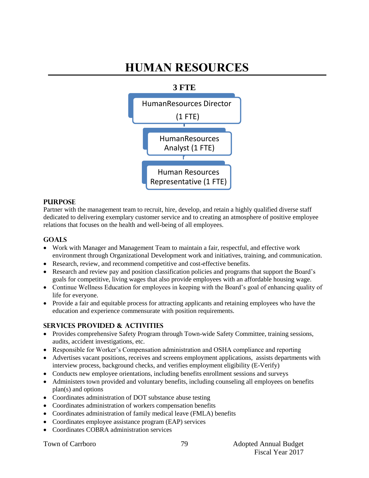# **HUMAN RESOURCES**



#### **PURPOSE**

Partner with the management team to recruit, hire, develop, and retain a highly qualified diverse staff dedicated to delivering exemplary customer service and to creating an atmosphere of positive employee relations that focuses on the health and well-being of all employees.

#### **GOALS**

- Work with Manager and Management Team to maintain a fair, respectful, and effective work environment through Organizational Development work and initiatives, training, and communication.
- Research, review, and recommend competitive and cost-effective benefits.
- Research and review pay and position classification policies and programs that support the Board's goals for competitive, living wages that also provide employees with an affordable housing wage.
- Continue Wellness Education for employees in keeping with the Board's goal of enhancing quality of life for everyone.
- Provide a fair and equitable process for attracting applicants and retaining employees who have the education and experience commensurate with position requirements.

#### **SERVICES PROVIDED & ACTIVITIES**

- Provides comprehensive Safety Program through Town-wide Safety Committee, training sessions, audits, accident investigations, etc.
- Responsible for Worker's Compensation administration and OSHA compliance and reporting
- Advertises vacant positions, receives and screens employment applications, assists departments with interview process, background checks, and verifies employment eligibility (E-Verify)
- Conducts new employee orientations, including benefits enrollment sessions and surveys
- Administers town provided and voluntary benefits, including counseling all employees on benefits plan(s) and options
- Coordinates administration of DOT substance abuse testing
- Coordinates administration of workers compensation benefits
- Coordinates administration of family medical leave (FMLA) benefits
- Coordinates employee assistance program (EAP) services
- Coordinates COBRA administration services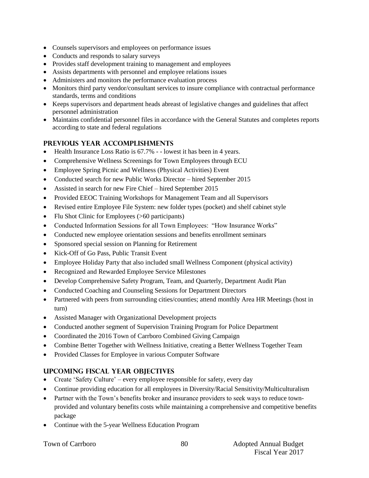- Counsels supervisors and employees on performance issues
- Conducts and responds to salary surveys
- Provides staff development training to management and employees
- Assists departments with personnel and employee relations issues
- Administers and monitors the performance evaluation process
- Monitors third party vendor/consultant services to insure compliance with contractual performance standards, terms and conditions
- Keeps supervisors and department heads abreast of legislative changes and guidelines that affect personnel administration
- Maintains confidential personnel files in accordance with the General Statutes and completes reports according to state and federal regulations

## **PREVIOUS YEAR ACCOMPLISHMENTS**

- Health Insurance Loss Ratio is 67.7% - lowest it has been in 4 years.
- Comprehensive Wellness Screenings for Town Employees through ECU
- Employee Spring Picnic and Wellness (Physical Activities) Event
- Conducted search for new Public Works Director hired September 2015
- Assisted in search for new Fire Chief hired September 2015
- Provided EEOC Training Workshops for Management Team and all Supervisors
- Revised entire Employee File System: new folder types (pocket) and shelf cabinet style
- Flu Shot Clinic for Employees (>60 participants)
- Conducted Information Sessions for all Town Employees: "How Insurance Works"
- Conducted new employee orientation sessions and benefits enrollment seminars
- Sponsored special session on Planning for Retirement
- Kick-Off of Go Pass, Public Transit Event
- Employee Holiday Party that also included small Wellness Component (physical activity)
- Recognized and Rewarded Employee Service Milestones
- Develop Comprehensive Safety Program, Team, and Quarterly, Department Audit Plan
- Conducted Coaching and Counseling Sessions for Department Directors
- Partnered with peers from surrounding cities/counties; attend monthly Area HR Meetings (host in turn)
- Assisted Manager with Organizational Development projects
- Conducted another segment of Supervision Training Program for Police Department
- Coordinated the 2016 Town of Carrboro Combined Giving Campaign
- Combine Better Together with Wellness Initiative, creating a Better Wellness Together Team
- Provided Classes for Employee in various Computer Software

## **UPCOMING FISCAL YEAR OBJECTIVES**

- Create 'Safety Culture' every employee responsible for safety, every day
- Continue providing education for all employees in Diversity/Racial Sensitivity/Multiculturalism
- Partner with the Town's benefits broker and insurance providers to seek ways to reduce townprovided and voluntary benefits costs while maintaining a comprehensive and competitive benefits package
- Continue with the 5-year Wellness Education Program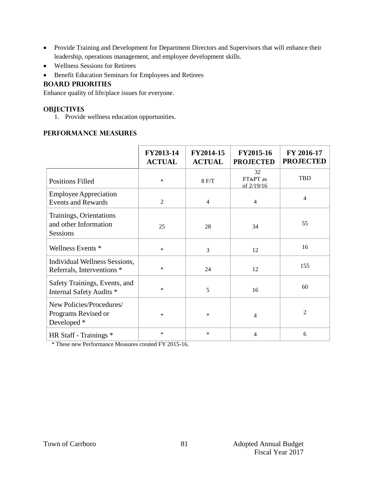- Provide Training and Development for Department Directors and Supervisors that will enhance their leadership, operations management, and employee development skills.
- Wellness Sessions for Retirees
- **•** Benefit Education Seminars for Employees and Retirees

#### **BOARD PRIORITIES**

Enhance quality of life/place issues for everyone.

#### **OBJECTIVES**

1. Provide wellness education opportunities.

## **PERFORMANCE MEASURES**

|                                                                     | FY2013-14<br><b>ACTUAL</b> | FY2014-15<br><b>ACTUAL</b> | FY2015-16<br><b>PROJECTED</b> | FY 2016-17<br><b>PROJECTED</b> |
|---------------------------------------------------------------------|----------------------------|----------------------------|-------------------------------|--------------------------------|
| <b>Positions Filled</b>                                             | $\ast$                     | 8 F/T                      | 32<br>FT&PT as<br>of 2/19/16  | <b>TBD</b>                     |
| <b>Employee Appreciation</b><br><b>Events and Rewards</b>           | $\overline{2}$             | $\overline{4}$             | $\overline{4}$                | 4                              |
| Trainings, Orientations<br>and other Information<br><b>Sessions</b> | 25                         | 28                         | 34                            | 55                             |
| Wellness Events *                                                   | $\ast$                     | 3                          | 12                            | 16                             |
| Individual Wellness Sessions,<br>Referrals, Interventions *         | $\ast$                     | 24                         | 12                            | 155                            |
| Safety Trainings, Events, and<br>Internal Safety Audits *           | $\ast$                     | 5                          | 16                            | 60                             |
| New Policies/Procedures/<br>Programs Revised or<br>Developed *      | $\ast$                     | $\ast$                     | 4                             | $\overline{c}$                 |
| HR Staff - Trainings *                                              | $\ast$                     | *                          | 4                             | 6                              |

\* These new Performance Measures created FY 2015-16.